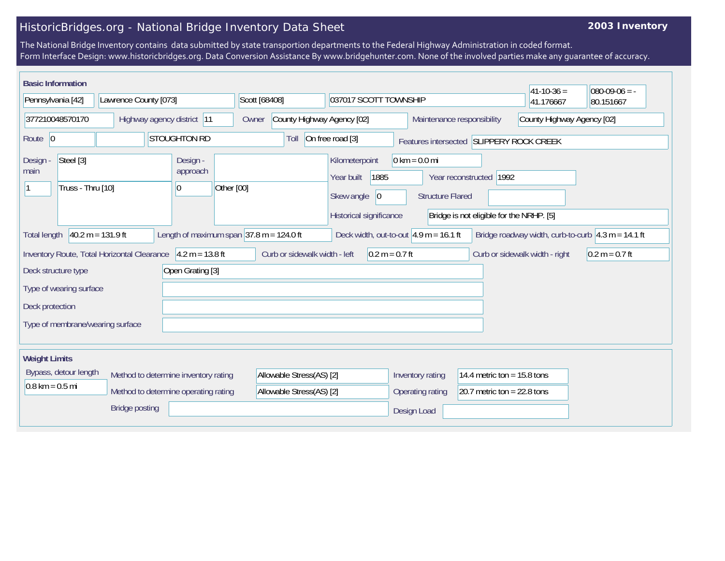## HistoricBridges.org - National Bridge Inventory Data Sheet

## **2003 Inventory**

The National Bridge Inventory contains data submitted by state transportion departments to the Federal Highway Administration in coded format. Form Interface Design: www.historicbridges.org. Data Conversion Assistance By www.bridgehunter.com. None of the involved parties make any guarantee of accuracy.

| <b>Basic Information</b>                                                                                                                                                                                                                                                 |                                                   |                                                                   |                                                                                      |                                                            |                                          | $ 41-10-36 $ | $080-09-06 = -$ |
|--------------------------------------------------------------------------------------------------------------------------------------------------------------------------------------------------------------------------------------------------------------------------|---------------------------------------------------|-------------------------------------------------------------------|--------------------------------------------------------------------------------------|------------------------------------------------------------|------------------------------------------|--------------|-----------------|
| Pennsylvania [42]<br>Lawrence County [073]                                                                                                                                                                                                                               |                                                   | Scott [68408]                                                     | 037017 SCOTT TOWNSHIP                                                                |                                                            |                                          | 41.176667    | 80.151667       |
| 377210048570170<br>Highway agency district 11                                                                                                                                                                                                                            |                                                   | County Highway Agency [02]<br>Maintenance responsibility<br>Owner |                                                                                      |                                                            | County Highway Agency [02]               |              |                 |
| Route 0                                                                                                                                                                                                                                                                  | <b>STOUGHTON RD</b>                               | Toll                                                              | On free road [3]                                                                     |                                                            | Features intersected SLIPPERY ROCK CREEK |              |                 |
| Steel [3]<br>Design -<br>main<br>Truss - Thru [10]                                                                                                                                                                                                                       | Design -<br>approach<br>Other [00]<br> 0          |                                                                   | Kilometerpoint<br>1885<br>Year built<br>Skew angle<br> 0 <br>Historical significance | $0 \text{ km} = 0.0 \text{ mi}$<br><b>Structure Flared</b> | Year reconstructed 1992                  |              |                 |
| Bridge is not eligible for the NRHP. [5]<br>$40.2 m = 131.9 ft$<br>Length of maximum span $ 37.8 \text{ m} = 124.0 \text{ ft}$<br>Deck width, out-to-out $4.9$ m = 16.1 ft<br>Bridge roadway width, curb-to-curb $\left  4.3 \right  m = 14.1$ ft<br><b>Total length</b> |                                                   |                                                                   |                                                                                      |                                                            |                                          |              |                 |
| $4.2 m = 13.8 ft$<br>Inventory Route, Total Horizontal Clearance                                                                                                                                                                                                         | Curb or sidewalk width - left<br>$0.2 m = 0.7 ft$ |                                                                   |                                                                                      | Curb or sidewalk width - right                             | $0.2 m = 0.7 ft$                         |              |                 |
| Open Grating [3]<br>Deck structure type                                                                                                                                                                                                                                  |                                                   |                                                                   |                                                                                      |                                                            |                                          |              |                 |
| Type of wearing surface                                                                                                                                                                                                                                                  |                                                   |                                                                   |                                                                                      |                                                            |                                          |              |                 |
| Deck protection                                                                                                                                                                                                                                                          |                                                   |                                                                   |                                                                                      |                                                            |                                          |              |                 |
| Type of membrane/wearing surface                                                                                                                                                                                                                                         |                                                   |                                                                   |                                                                                      |                                                            |                                          |              |                 |
| <b>Weight Limits</b>                                                                                                                                                                                                                                                     |                                                   |                                                                   |                                                                                      |                                                            |                                          |              |                 |
| Bypass, detour length<br>Method to determine inventory rating                                                                                                                                                                                                            |                                                   | Allowable Stress(AS) [2]                                          |                                                                                      | Inventory rating<br>14.4 metric ton = $15.8$ tons          |                                          |              |                 |
| $0.8 \text{ km} = 0.5 \text{ mi}$<br>Method to determine operating rating                                                                                                                                                                                                |                                                   | Allowable Stress(AS) [2]                                          |                                                                                      | Operating rating                                           | 20.7 metric ton = $22.8$ tons            |              |                 |
| <b>Bridge posting</b>                                                                                                                                                                                                                                                    |                                                   |                                                                   |                                                                                      | Design Load                                                |                                          |              |                 |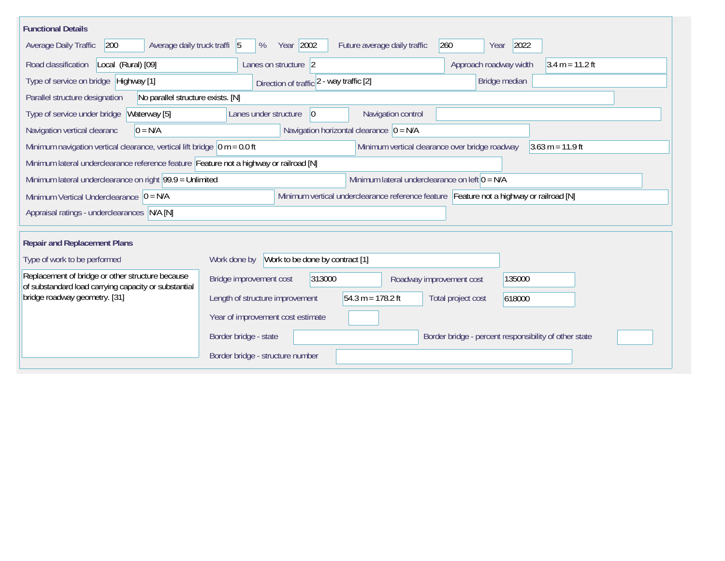| <b>Functional Details</b>                                                                                                                                                |                                                                                        |  |  |  |  |  |
|--------------------------------------------------------------------------------------------------------------------------------------------------------------------------|----------------------------------------------------------------------------------------|--|--|--|--|--|
| 200<br>Average daily truck traffi 5<br>Average Daily Traffic                                                                                                             | Year 2002<br>2022<br>Future average daily traffic<br>260<br>%<br>Year                  |  |  |  |  |  |
| Road classification<br>Local (Rural) [09]                                                                                                                                | Approach roadway width<br>$3.4 m = 11.2 ft$<br>Lanes on structure 2                    |  |  |  |  |  |
| Type of service on bridge Highway [1]                                                                                                                                    | Bridge median<br>Direction of traffic 2 - way traffic [2]                              |  |  |  |  |  |
| No parallel structure exists. [N]<br>Parallel structure designation                                                                                                      |                                                                                        |  |  |  |  |  |
| Waterway [5]<br>Type of service under bridge                                                                                                                             | Navigation control<br>Lanes under structure<br>$\overline{0}$                          |  |  |  |  |  |
| Navigation horizontal clearance $ 0 = N/A$<br>Navigation vertical clearanc<br>$0 = N/A$                                                                                  |                                                                                        |  |  |  |  |  |
| Minimum navigation vertical clearance, vertical lift bridge $\vert$ 0 m = 0.0 ft<br>Minimum vertical clearance over bridge roadway<br>$3.63 \text{ m} = 11.9 \text{ ft}$ |                                                                                        |  |  |  |  |  |
| Minimum lateral underclearance reference feature Feature not a highway or railroad [N]                                                                                   |                                                                                        |  |  |  |  |  |
| Minimum lateral underclearance on left $0 = N/A$<br>Minimum lateral underclearance on right $99.9 =$ Unlimited                                                           |                                                                                        |  |  |  |  |  |
| Minimum vertical underclearance reference feature Feature not a highway or railroad [N]<br>Minimum Vertical Underclearance $ 0 = N/A$                                    |                                                                                        |  |  |  |  |  |
| Appraisal ratings - underclearances N/A [N]                                                                                                                              |                                                                                        |  |  |  |  |  |
|                                                                                                                                                                          |                                                                                        |  |  |  |  |  |
| <b>Repair and Replacement Plans</b>                                                                                                                                      |                                                                                        |  |  |  |  |  |
| Type of work to be performed                                                                                                                                             | Work to be done by contract [1]<br>Work done by                                        |  |  |  |  |  |
| Replacement of bridge or other structure because<br>of substandard load carrying capacity or substantial                                                                 | 313000<br>Bridge improvement cost<br>135000<br>Roadway improvement cost                |  |  |  |  |  |
| bridge roadway geometry. [31]                                                                                                                                            | $54.3 m = 178.2 ft$<br>Length of structure improvement<br>Total project cost<br>618000 |  |  |  |  |  |
|                                                                                                                                                                          | Year of improvement cost estimate                                                      |  |  |  |  |  |
|                                                                                                                                                                          | Border bridge - state<br>Border bridge - percent responsibility of other state         |  |  |  |  |  |
|                                                                                                                                                                          | Border bridge - structure number                                                       |  |  |  |  |  |